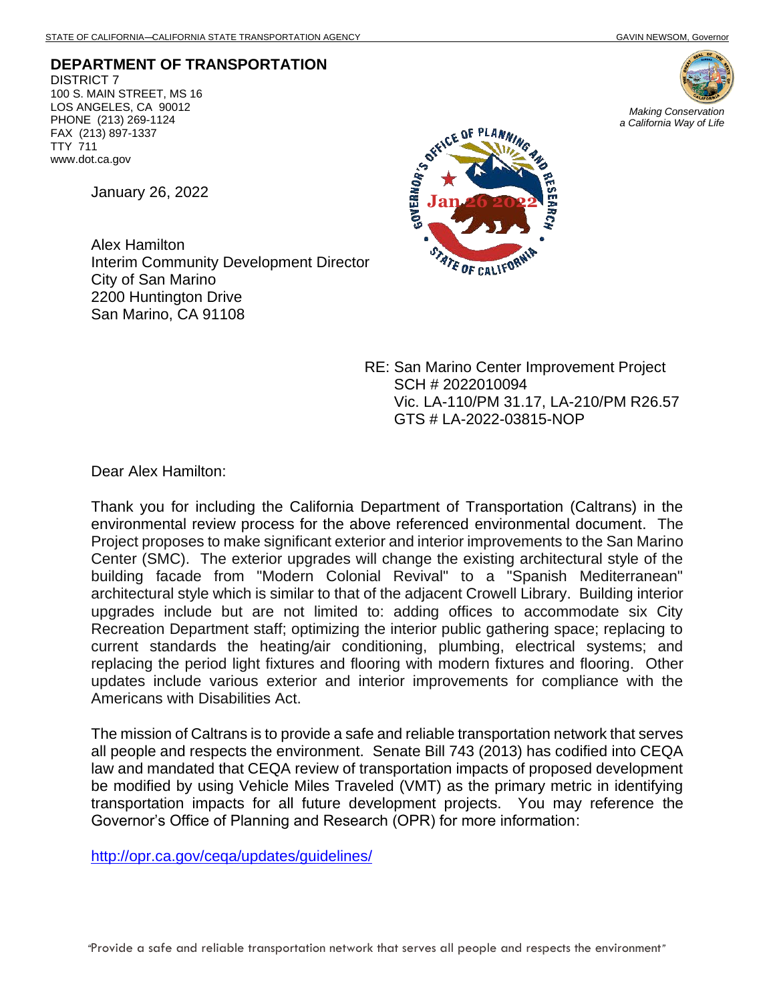**DEPARTMENT OF TRANSPORTATION** DISTRICT 7 100 S. MAIN STREET, MS 16 LOS ANGELES, CA 90012 PHONE (213) 269-1124 FAX (213) 897-1337 TTY 711 www.dot.ca.gov

January 26, 2022

Alex Hamilton Interim Community Development Director City of San Marino 2200 Huntington Drive San Marino, CA 91108



RE: San Marino Center Improvement Project SCH # 2022010094 Vic. LA-110/PM 31.17, LA-210/PM R26.57 GTS # LA-2022-03815-NOP

Dear Alex Hamilton:

Thank you for including the California Department of Transportation (Caltrans) in the environmental review process for the above referenced environmental document. The Project proposes to make significant exterior and interior improvements to the San Marino Center (SMC). The exterior upgrades will change the existing architectural style of the building facade from "Modern Colonial Revival" to a "Spanish Mediterranean" architectural style which is similar to that of the adjacent Crowell Library. Building interior upgrades include but are not limited to: adding offices to accommodate six City Recreation Department staff; optimizing the interior public gathering space; replacing to current standards the heating/air conditioning, plumbing, electrical systems; and replacing the period light fixtures and flooring with modern fixtures and flooring. Other updates include various exterior and interior improvements for compliance with the Americans with Disabilities Act.

The mission of Caltrans is to provide a safe and reliable transportation network that serves all people and respects the environment. Senate Bill 743 (2013) has codified into CEQA law and mandated that CEQA review of transportation impacts of proposed development be modified by using Vehicle Miles Traveled (VMT) as the primary metric in identifying transportation impacts for all future development projects. You may reference the Governor's Office of Planning and Research (OPR) for more information:

<http://opr.ca.gov/ceqa/updates/guidelines/>



*Making Conservation a California Way of Life*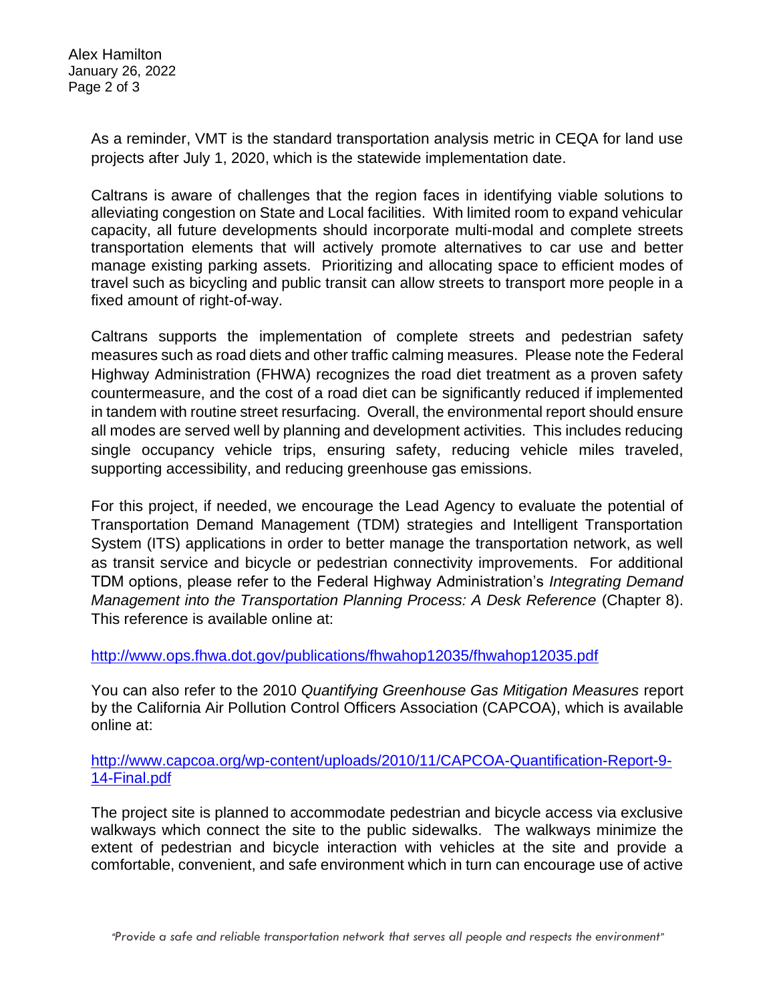Alex Hamilton January 26, 2022 Page 2 of 3

> As a reminder, VMT is the standard transportation analysis metric in CEQA for land use projects after July 1, 2020, which is the statewide implementation date.

> Caltrans is aware of challenges that the region faces in identifying viable solutions to alleviating congestion on State and Local facilities. With limited room to expand vehicular capacity, all future developments should incorporate multi-modal and complete streets transportation elements that will actively promote alternatives to car use and better manage existing parking assets. Prioritizing and allocating space to efficient modes of travel such as bicycling and public transit can allow streets to transport more people in a fixed amount of right-of-way.

> Caltrans supports the implementation of complete streets and pedestrian safety measures such as road diets and other traffic calming measures. Please note the Federal Highway Administration (FHWA) recognizes the road diet treatment as a proven safety countermeasure, and the cost of a road diet can be significantly reduced if implemented in tandem with routine street resurfacing. Overall, the environmental report should ensure all modes are served well by planning and development activities. This includes reducing single occupancy vehicle trips, ensuring safety, reducing vehicle miles traveled, supporting accessibility, and reducing greenhouse gas emissions.

> For this project, if needed, we encourage the Lead Agency to evaluate the potential of Transportation Demand Management (TDM) strategies and Intelligent Transportation System (ITS) applications in order to better manage the transportation network, as well as transit service and bicycle or pedestrian connectivity improvements. For additional TDM options, please refer to the Federal Highway Administration's *Integrating Demand Management into the Transportation Planning Process: A Desk Reference (Chapter 8).* This reference is available online at:

<http://www.ops.fhwa.dot.gov/publications/fhwahop12035/fhwahop12035.pdf>

You can also refer to the 2010 *Quantifying Greenhouse Gas Mitigation Measures* report by the California Air Pollution Control Officers Association (CAPCOA), which is available online at:

[http://www.capcoa.org/wp-content/uploads/2010/11/CAPCOA-Quantification-Report-9-](http://www.capcoa.org/wp-content/uploads/2010/11/CAPCOA-Quantification-Report-9-14-Final.pdf) [14-Final.pdf](http://www.capcoa.org/wp-content/uploads/2010/11/CAPCOA-Quantification-Report-9-14-Final.pdf)

The project site is planned to accommodate pedestrian and bicycle access via exclusive walkways which connect the site to the public sidewalks. The walkways minimize the extent of pedestrian and bicycle interaction with vehicles at the site and provide a comfortable, convenient, and safe environment which in turn can encourage use of active